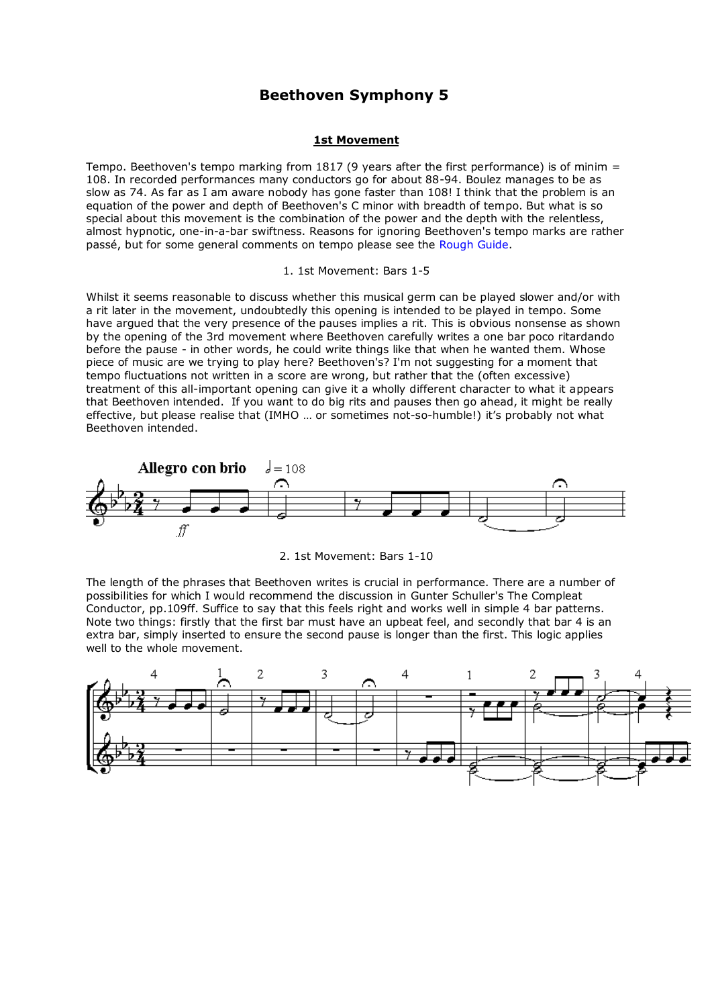# **Beethoven Symphony 5**

## **1st Movement**

Tempo. Beethoven's tempo marking from 1817 (9 years after the first performance) is of minim = 108. In recorded performances many conductors go for about 88-94. Boulez manages to be as slow as 74. As far as I am aware nobody has gone faster than 108! I think that the problem is an equation of the power and depth of Beethoven's C minor with breadth of tempo. But what is so special about this movement is the combination of the power and the depth with the relentless, almost hypnotic, one-in-a-bar swiftness. Reasons for ignoring Beethoven's tempo marks are rather passé, but for some general comments on tempo please see the [Rough Guide.](http://www.peterfender.co.uk/sites/default/files/page/Rough_Guide.pdf)

#### 1. 1st Movement: Bars 1-5

Whilst it seems reasonable to discuss whether this musical germ can be played slower and/or with a rit later in the movement, undoubtedly this opening is intended to be played in tempo. Some have argued that the very presence of the pauses implies a rit. This is obvious nonsense as shown by the opening of the 3rd movement where Beethoven carefully writes a one bar poco ritardando before the pause - in other words, he could write things like that when he wanted them. Whose piece of music are we trying to play here? Beethoven's? I'm not suggesting for a moment that tempo fluctuations not written in a score are wrong, but rather that the (often excessive) treatment of this all-important opening can give it a wholly different character to what it appears that Beethoven intended. If you want to do big rits and pauses then go ahead, it might be really effective, but please realise that (IMHO … or sometimes not-so-humble!) it's probably not what Beethoven intended.





The length of the phrases that Beethoven writes is crucial in performance. There are a number of possibilities for which I would recommend the discussion in Gunter Schuller's The Compleat Conductor, pp.109ff. Suffice to say that this feels right and works well in simple 4 bar patterns. Note two things: firstly that the first bar must have an upbeat feel, and secondly that bar 4 is an extra bar, simply inserted to ensure the second pause is longer than the first. This logic applies well to the whole movement.

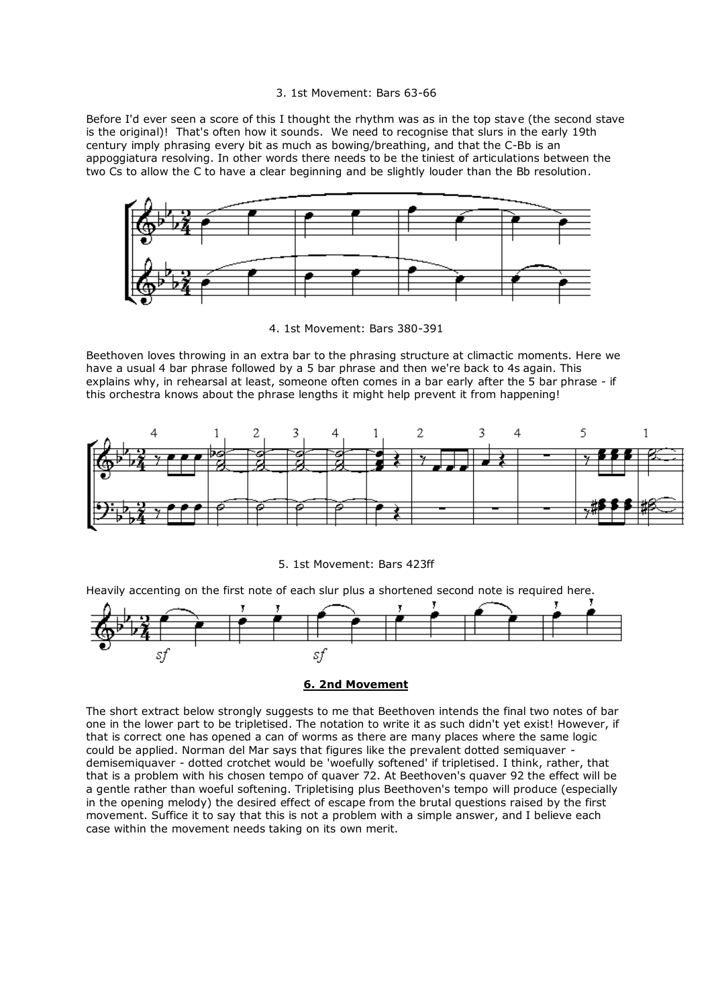#### 3. 1st Movement: Bars 63-66

Before I'd ever seen a score of this I thought the rhythm was as in the top stave (the second stave is the original)! That's often how it sounds. We need to recognise that slurs in the early 19th century imply phrasing every bit as much as bowing/breathing, and that the C-Bb is an appoggiatura resolving. In other words there needs to be the tiniest of articulations between the two Cs to allow the C to have a clear beginning and be slightly louder than the Bb resolution.



4. 1st Movement: Bars 380-391

Beethoven loves throwing in an extra bar to the phrasing structure at climactic moments. Here we have a usual 4 bar phrase followed by a 5 bar phrase and then we're back to 4s again. This explains why, in rehearsal at least, someone often comes in a bar early after the 5 bar phrase - if this orchestra knows about the phrase lengths it might help prevent it from happening!



5. 1st Movement: Bars 423ff

Heavily accenting on the first note of each slur plus a shortened second note is required here.



### **6. 2nd Movement**

The short extract below strongly suggests to me that Beethoven intends the final two notes of bar one in the lower part to be tripletised. The notation to write it as such didn't yet exist! However, if that is correct one has opened a can of worms as there are many places where the same logic could be applied. Norman del Mar says that figures like the prevalent dotted semiquaver demisemiquaver - dotted crotchet would be 'woefully softened' if tripletised. I think, rather, that that is a problem with his chosen tempo of quaver 72. At Beethoven's quaver 92 the effect will be a gentle rather than woeful softening. Tripletising plus Beethoven's tempo will produce (especially in the opening melody) the desired effect of escape from the brutal questions raised by the first movement. Suffice it to say that this is not a problem with a simple answer, and I believe each case within the movement needs taking on its own merit.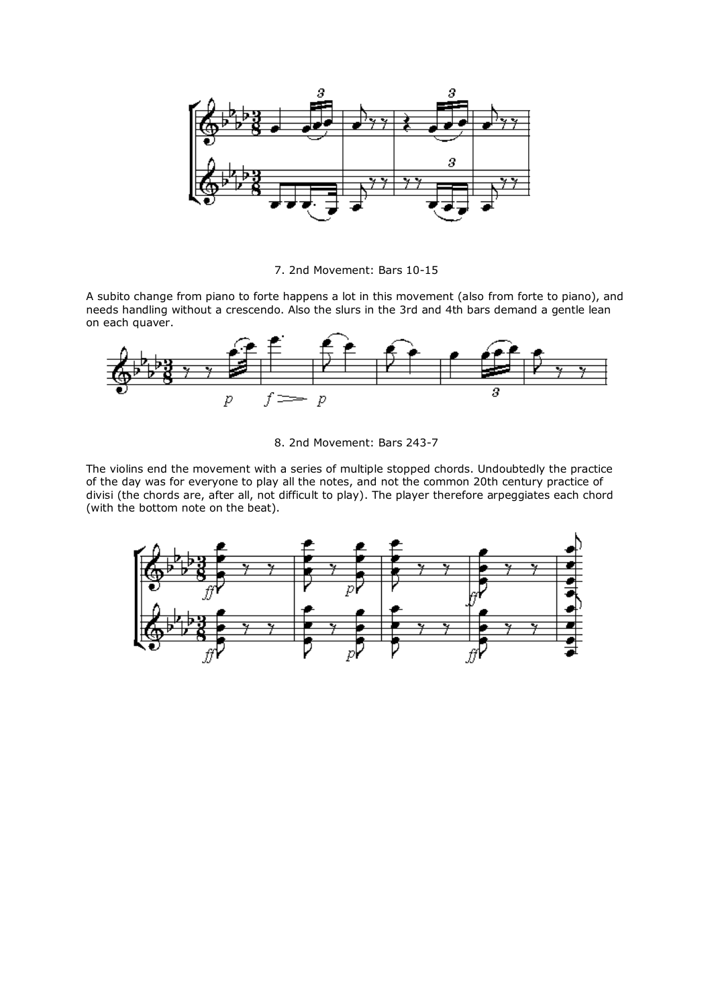

7. 2nd Movement: Bars 10-15

A subito change from piano to forte happens a lot in this movement (also from forte to piano), and needs handling without a crescendo. Also the slurs in the 3rd and 4th bars demand a gentle lean on each quaver.



8. 2nd Movement: Bars 243-7

The violins end the movement with a series of multiple stopped chords. Undoubtedly the practice of the day was for everyone to play all the notes, and not the common 20th century practice of divisi (the chords are, after all, not difficult to play). The player therefore arpeggiates each chord (with the bottom note on the beat).

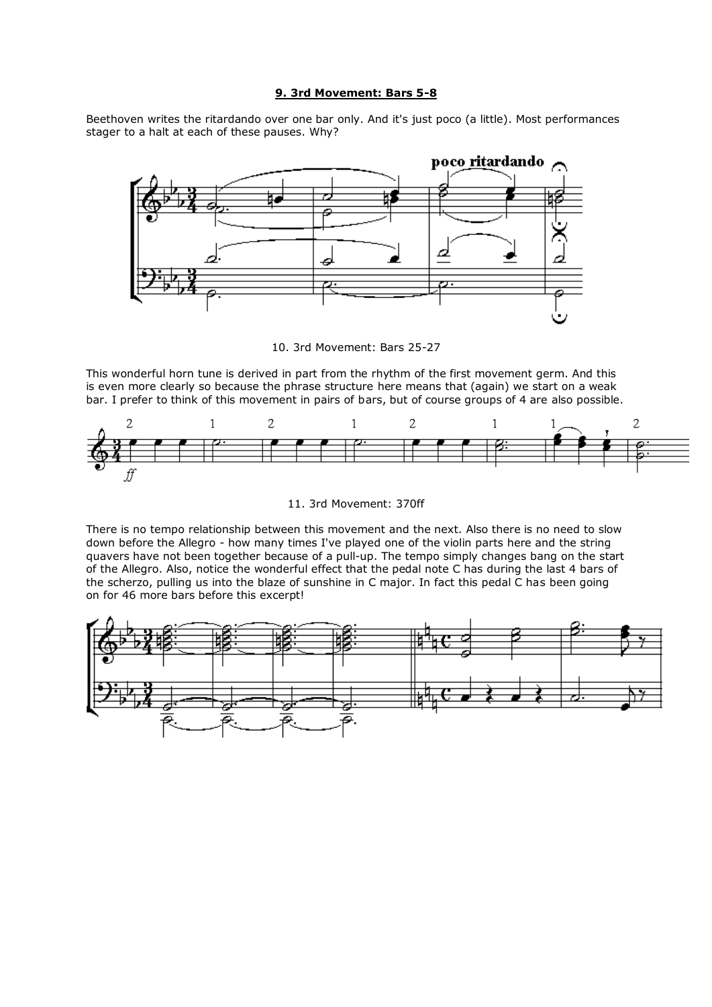# **9. 3rd Movement: Bars 5-8**

Beethoven writes the ritardando over one bar only. And it's just poco (a little). Most performances stager to a halt at each of these pauses. Why?



10. 3rd Movement: Bars 25-27

This wonderful horn tune is derived in part from the rhythm of the first movement germ. And this is even more clearly so because the phrase structure here means that (again) we start on a weak bar. I prefer to think of this movement in pairs of bars, but of course groups of 4 are also possible.



11. 3rd Movement: 370ff

There is no tempo relationship between this movement and the next. Also there is no need to slow down before the Allegro - how many times I've played one of the violin parts here and the string quavers have not been together because of a pull-up. The tempo simply changes bang on the start of the Allegro. Also, notice the wonderful effect that the pedal note C has during the last 4 bars of the scherzo, pulling us into the blaze of sunshine in C major. In fact this pedal C has been going on for 46 more bars before this excerpt!